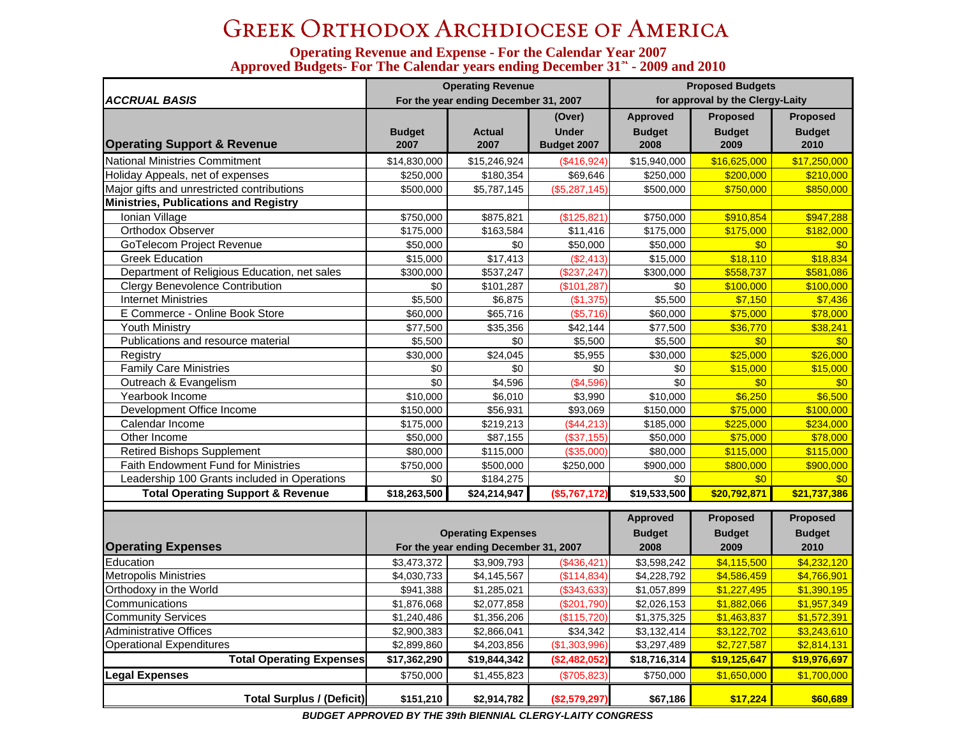## Greek Orthodox Archdiocese of America

## **Operating Revenue and Expense - For the Calendar Year 2007 Approved Budgets- For The Calendar years ending December 31st - 2009 and 2010**

| <b>ACCRUAL BASIS</b>                         |                       | <b>Operating Revenue</b><br>For the year ending December 31, 2007 |                                       | <b>Proposed Budgets</b><br>for approval by the Clergy-Laity |                                   |                                   |  |
|----------------------------------------------|-----------------------|-------------------------------------------------------------------|---------------------------------------|-------------------------------------------------------------|-----------------------------------|-----------------------------------|--|
| <b>Operating Support &amp; Revenue</b>       | <b>Budget</b><br>2007 | <b>Actual</b><br>2007                                             | (Over)<br><b>Under</b><br>Budget 2007 | Approved<br><b>Budget</b><br>2008                           | Proposed<br><b>Budget</b><br>2009 | Proposed<br><b>Budget</b><br>2010 |  |
| <b>National Ministries Commitment</b>        | \$14,830,000          | \$15,246,924                                                      | (\$416,924)                           | \$15,940,000                                                | \$16,625,000                      | \$17,250,000                      |  |
| Holiday Appeals, net of expenses             | \$250,000             | \$180,354                                                         | \$69,646                              | \$250,000                                                   | \$200,000                         | \$210,000                         |  |
| Major gifts and unrestricted contributions   | \$500,000             | \$5,787,145                                                       | (\$5,287,145)                         | \$500,000                                                   | \$750,000                         | \$850,000                         |  |
| <b>Ministries, Publications and Registry</b> |                       |                                                                   |                                       |                                                             |                                   |                                   |  |
| Ionian Village                               | \$750,000             | \$875,821                                                         | (\$125,821)                           | \$750,000                                                   | \$910,854                         | \$947,288                         |  |
| <b>Orthodox Observer</b>                     | \$175,000             | \$163,584                                                         | \$11,416                              | \$175,000                                                   | \$175,000                         | \$182,000                         |  |
| GoTelecom Project Revenue                    | \$50,000              | \$0                                                               | \$50,000                              | \$50,000                                                    | \$0                               | \$0                               |  |
| <b>Greek Education</b>                       | \$15,000              | \$17,413                                                          | (\$2,413)                             | \$15,000                                                    | \$18,110                          | \$18,834                          |  |
| Department of Religious Education, net sales | \$300,000             | \$537,247                                                         | (\$237, 247)                          | \$300,000                                                   | \$558,737                         | \$581,086                         |  |
| <b>Clergy Benevolence Contribution</b>       | \$0                   | \$101,287                                                         | (\$101, 287)                          | \$0                                                         | \$100,000                         | \$100,000                         |  |
| <b>Internet Ministries</b>                   | \$5,500               | \$6,875                                                           | (\$1,375)                             | \$5,500                                                     | \$7,150                           | \$7,436                           |  |
| E Commerce - Online Book Store               | \$60,000              | \$65,716                                                          | (\$5,716)                             | \$60,000                                                    | \$75,000                          | \$78,000                          |  |
| Youth Ministry                               | \$77,500              | \$35,356                                                          | \$42,144                              | \$77,500                                                    | \$36,770                          | \$38,241                          |  |
| Publications and resource material           | \$5,500               | \$0                                                               | \$5,500                               | \$5,500                                                     | \$0                               | \$0                               |  |
| Registry                                     | \$30,000              | \$24,045                                                          | \$5,955                               | \$30,000                                                    | \$25,000                          | \$26,000                          |  |
| <b>Family Care Ministries</b>                | \$0                   | \$0                                                               | \$0                                   | \$0                                                         | \$15,000                          | \$15,000                          |  |
| Outreach & Evangelism                        | \$0                   | \$4,596                                                           | (\$4,596)                             | \$0                                                         | \$0                               | \$0                               |  |
| Yearbook Income                              | \$10,000              | \$6,010                                                           | \$3,990                               | \$10,000                                                    | \$6,250                           | \$6,500                           |  |
| Development Office Income                    | \$150,000             | \$56,931                                                          | \$93,069                              | \$150,000                                                   | \$75,000                          | \$100,000                         |  |
| Calendar Income                              | \$175,000             | \$219,213                                                         | (\$44,213)                            | \$185,000                                                   | \$225,000                         | \$234,000                         |  |
| Other Income                                 | \$50,000              | \$87,155                                                          | (\$37,155)                            | \$50,000                                                    | \$75,000                          | \$78,000                          |  |
| <b>Retired Bishops Supplement</b>            | \$80,000              | \$115,000                                                         | (\$35,000)                            | \$80,000                                                    | \$115,000                         | \$115,000                         |  |
| <b>Faith Endowment Fund for Ministries</b>   | \$750,000             | \$500,000                                                         | \$250,000                             | \$900,000                                                   | \$800,000                         | \$900,000                         |  |
| Leadership 100 Grants included in Operations | \$0                   | \$184,275                                                         |                                       | \$0                                                         | \$0                               | \$0                               |  |
| <b>Total Operating Support &amp; Revenue</b> | \$18,263,500          | \$24,214,947                                                      | (\$5,767,172)                         | \$19,533,500                                                | \$20,792,871                      | \$21,737,386                      |  |
|                                              |                       | <b>Operating Expenses</b>                                         |                                       | <b>Approved</b><br><b>Budget</b>                            | <b>Proposed</b><br><b>Budget</b>  | Proposed<br><b>Budget</b>         |  |

| <b>Operating Expenses</b>       |              | <b>Operating Expenses</b><br>For the year ending December 31, 2007 |               | <b>Budget</b><br>2008 | <b>Budget</b><br>2009 | <b>Budget</b><br>2010 |
|---------------------------------|--------------|--------------------------------------------------------------------|---------------|-----------------------|-----------------------|-----------------------|
| Education                       | \$3,473,372  | \$3,909,793                                                        | (\$436,421)   | \$3,598,242           | \$4,115,500           | \$4,232,120           |
| <b>Metropolis Ministries</b>    | \$4,030,733  | \$4,145,567                                                        | (S114, 834)   | \$4,228,792           | \$4,586,459           | \$4,766,901           |
| Orthodoxy in the World          | \$941,388    | \$1,285,021                                                        | (\$343,633)   | \$1,057,899           | \$1,227,495           | \$1,390,195           |
| Communications                  | \$1,876,068  | \$2,077,858                                                        | $(\$201,790)$ | \$2,026,153           | \$1,882,066           | \$1,957,349           |
| <b>Community Services</b>       | \$1,240,486  | \$1,356,206                                                        | (\$115,720)   | \$1,375,325           | \$1,463,837           | \$1,572,391           |
| Administrative Offices          | \$2,900,383  | \$2,866,041                                                        | \$34.342      | \$3,132,414           | \$3,122,702           | \$3,243,610           |
| <b>Operational Expenditures</b> | \$2,899,860  | \$4,203,856                                                        | (\$1,303,996) | \$3,297,489           | \$2,727,587           | \$2,814,131           |
| <b>Total Operating Expenses</b> | \$17,362,290 | \$19,844,342                                                       | (\$2,482,052) | \$18,716,314          | \$19,125,647          | \$19,976,697          |
| <b>Legal Expenses</b>           | \$750,000    | \$1,455,823                                                        | (\$705,823)   | \$750,000             | \$1,650,000           | \$1,700,000           |
| Total Surplus / (Deficit)       | \$151,210    | \$2,914,782                                                        | (\$2,579,297) | \$67,186              | \$17,224              | \$60,689              |

*BUDGET APPROVED BY THE 39th BIENNIAL CLERGY-LAITY CONGRESS*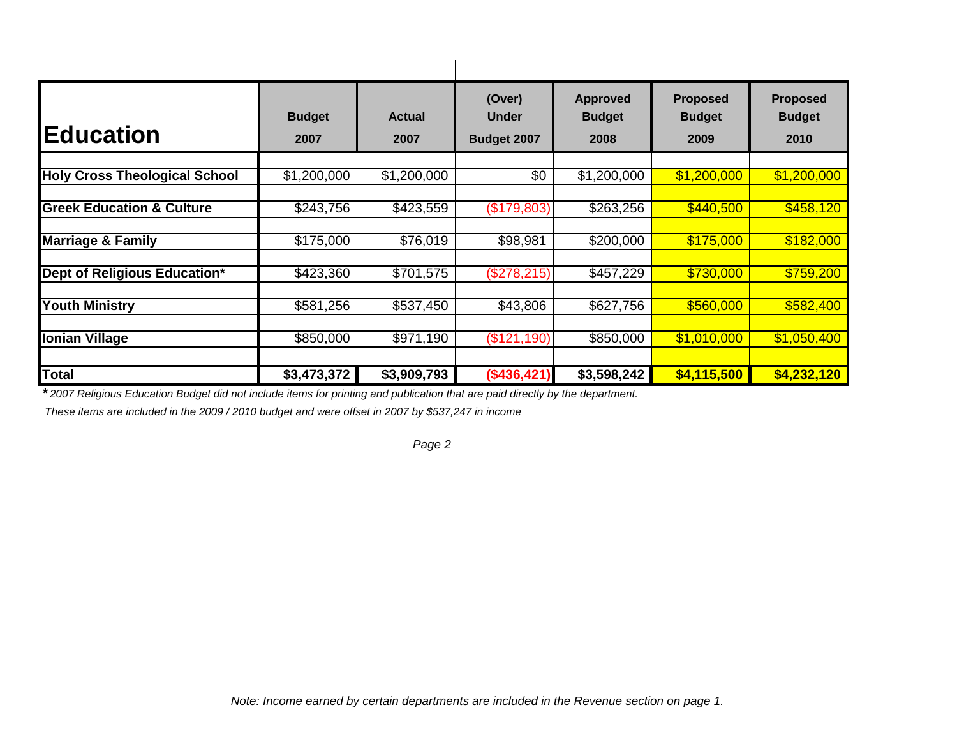| <b>Education</b>                     | <b>Budget</b><br>2007 | <b>Actual</b><br>2007 | (Over)<br><b>Under</b><br>Budget 2007 | <b>Approved</b><br><b>Budget</b><br>2008 | <b>Proposed</b><br><b>Budget</b><br>2009 | <b>Proposed</b><br><b>Budget</b><br>2010 |
|--------------------------------------|-----------------------|-----------------------|---------------------------------------|------------------------------------------|------------------------------------------|------------------------------------------|
| <b>Holy Cross Theological School</b> | \$1,200,000           | \$1,200,000           | \$0                                   | \$1,200,000                              | \$1,200,000                              | \$1,200,000                              |
| <b>Greek Education &amp; Culture</b> | \$243,756             | \$423,559             | (\$179,803)                           | \$263,256                                | \$440,500                                | \$458,120                                |
| <b>Marriage &amp; Family</b>         | \$175,000             | \$76,019              | \$98,981                              | \$200,000                                | \$175,000                                | \$182,000                                |
| Dept of Religious Education*         | \$423,360             | \$701,575             | (\$278,215)                           | \$457,229                                | \$730,000                                | \$759,200                                |
| <b>Youth Ministry</b>                | \$581,256             | \$537,450             | \$43,806                              | \$627,756                                | \$560,000                                | \$582,400                                |
| <b>Ionian Village</b>                | \$850,000             | $\sqrt{$971,190}$     | (\$121,190)                           | \$850,000                                | \$1,010,000                              | \$1,050,400                              |
| <b>Total</b>                         | \$3,473,372           | \$3,909,793           | (\$436,421)                           | \$3,598,242                              | \$4,115,500                              | \$4,232,120                              |

*\* 2007 Religious Education Budget did not include items for printing and publication that are paid directly by the department.* 

 *These items are included in the 2009 / 2010 budget and were offset in 2007 by \$537,247 in income*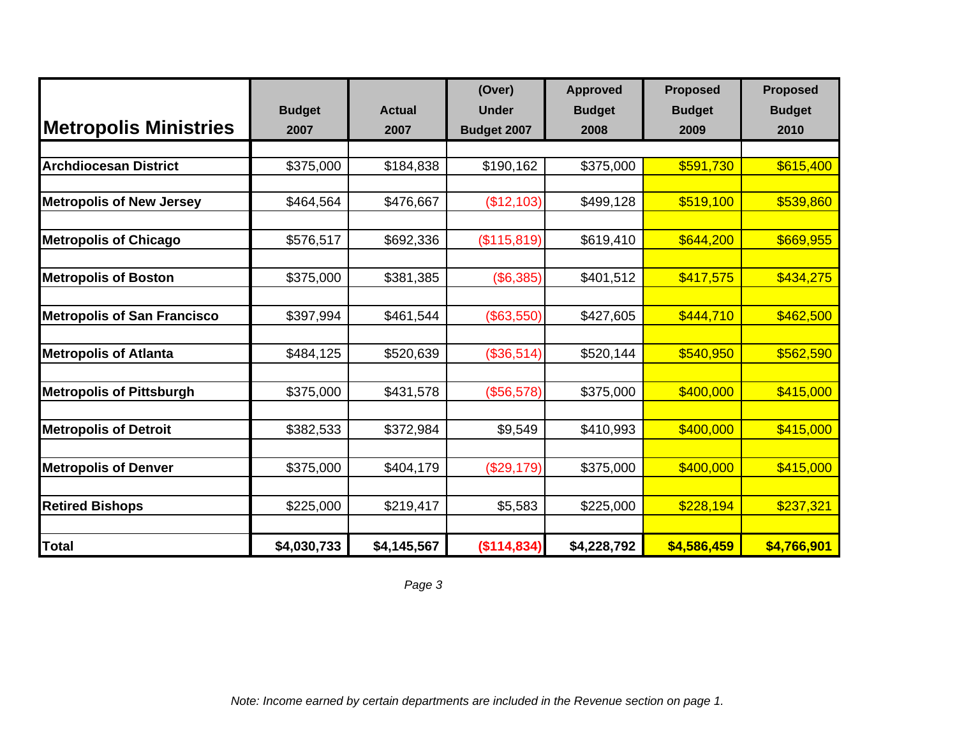|                                    |               |               | (Over)       | <b>Approved</b> | <b>Proposed</b> | <b>Proposed</b> |
|------------------------------------|---------------|---------------|--------------|-----------------|-----------------|-----------------|
|                                    | <b>Budget</b> | <b>Actual</b> | <b>Under</b> | <b>Budget</b>   | <b>Budget</b>   | <b>Budget</b>   |
| <b>Metropolis Ministries</b>       | 2007          | 2007          | Budget 2007  | 2008            | 2009            | 2010            |
|                                    |               |               |              |                 |                 |                 |
| <b>Archdiocesan District</b>       | \$375,000     | \$184,838     | \$190,162    | \$375,000       | \$591,730       | \$615,400       |
|                                    |               |               |              |                 |                 |                 |
| <b>Metropolis of New Jersey</b>    | \$464,564     | \$476,667     | (\$12,103)   | \$499,128       | \$519,100       | \$539,860       |
|                                    |               |               |              |                 |                 |                 |
| <b>Metropolis of Chicago</b>       | \$576,517     | \$692,336     | (\$115,819)  | \$619,410       | \$644,200       | \$669,955       |
| <b>Metropolis of Boston</b>        | \$375,000     | \$381,385     | (\$6,385)    | \$401,512       | \$417,575       | \$434,275       |
|                                    |               |               |              |                 |                 |                 |
| <b>Metropolis of San Francisco</b> | \$397,994     | \$461,544     | (\$63,550)   | \$427,605       | \$444,710       | \$462,500       |
|                                    |               |               |              |                 |                 |                 |
| <b>Metropolis of Atlanta</b>       | \$484,125     | \$520,639     | (\$36,514)   | \$520,144       | \$540,950       | \$562,590       |
| <b>Metropolis of Pittsburgh</b>    | \$375,000     | \$431,578     | (\$56,578)   | \$375,000       | \$400,000       | \$415,000       |
|                                    |               |               |              |                 |                 |                 |
| <b>Metropolis of Detroit</b>       | \$382,533     | \$372,984     | \$9,549      | \$410,993       | \$400,000       | \$415,000       |
|                                    |               |               |              |                 |                 |                 |
| <b>Metropolis of Denver</b>        | \$375,000     | \$404,179     | (\$29,179)   | \$375,000       | \$400,000       | \$415,000       |
|                                    |               |               |              |                 |                 |                 |
| <b>Retired Bishops</b>             | \$225,000     | \$219,417     | \$5,583      | \$225,000       | \$228,194       | \$237,321       |
| <b>Total</b>                       | \$4,030,733   | \$4,145,567   | (\$114,834)  | \$4,228,792     | \$4,586,459     | \$4,766,901     |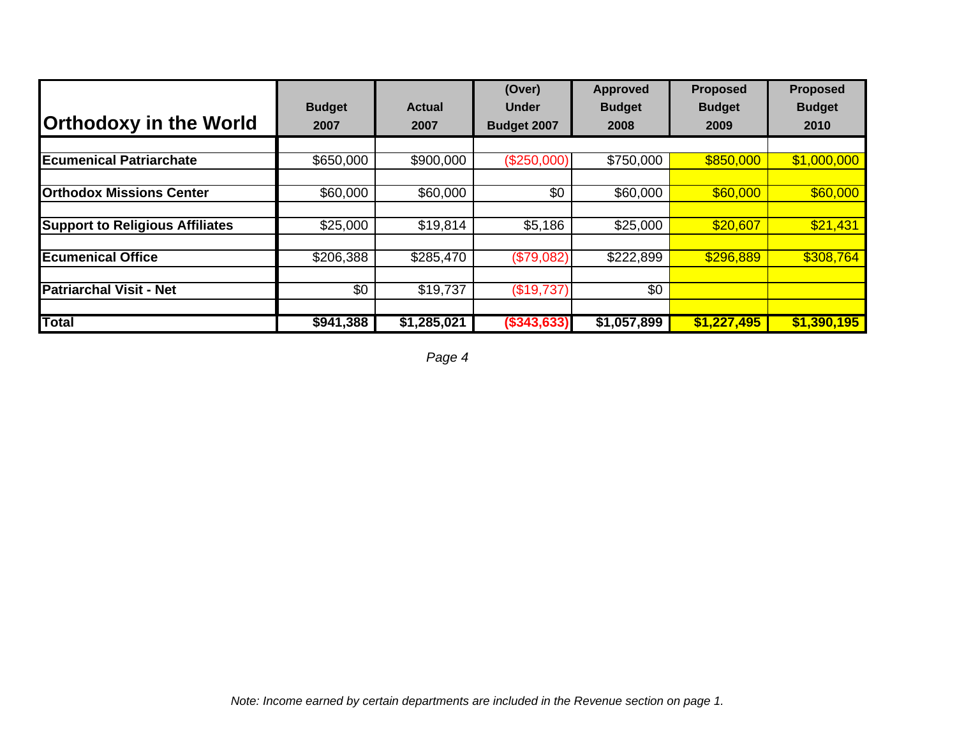|                                        |                 |             | (Over)             | <b>Approved</b> | <b>Proposed</b> | <b>Proposed</b> |
|----------------------------------------|-----------------|-------------|--------------------|-----------------|-----------------|-----------------|
|                                        | <b>Budget</b>   | Actual      | <b>Under</b>       | <b>Budget</b>   | <b>Budget</b>   | <b>Budget</b>   |
| <b>Orthodoxy in the World</b>          | 2007            | 2007        | <b>Budget 2007</b> | 2008            | 2009            | 2010            |
|                                        |                 |             |                    |                 |                 |                 |
| <b>Ecumenical Patriarchate</b>         | \$650,000       | \$900,000   | (\$250,000)        | \$750,000       | \$850,000       | \$1,000,000     |
|                                        |                 |             |                    |                 |                 |                 |
| <b>Orthodox Missions Center</b>        | \$60,000        | \$60,000    | \$0                | \$60,000        | \$60,000        | \$60,000        |
|                                        |                 |             |                    |                 |                 |                 |
| <b>Support to Religious Affiliates</b> | \$25,000        | \$19,814    | \$5,186            | \$25,000        | \$20,607        | \$21,431        |
| <b>Ecumenical Office</b>               | \$206,388       |             |                    |                 | \$296,889       | \$308,764       |
|                                        |                 | \$285,470   | (\$79,082)         | \$222,899       |                 |                 |
| <b>Patriarchal Visit - Net</b>         | $\overline{50}$ | \$19,737    | (\$19,737)         | $\overline{50}$ |                 |                 |
| <b>Total</b>                           | \$941,388       | \$1,285,021 | $($ \$343,633)     | \$1,057,899     | \$1,227,495     | \$1,390,195     |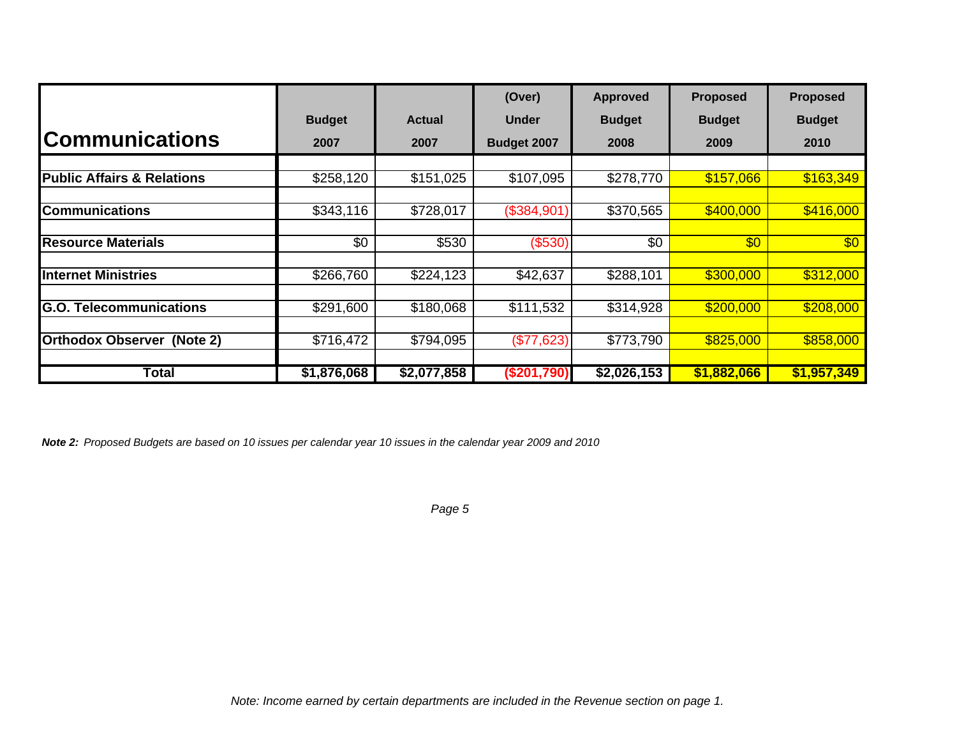|                                       |                 |               | (Over)        | <b>Approved</b> | <b>Proposed</b> | <b>Proposed</b> |
|---------------------------------------|-----------------|---------------|---------------|-----------------|-----------------|-----------------|
|                                       | <b>Budget</b>   | <b>Actual</b> | <b>Under</b>  | <b>Budget</b>   | <b>Budget</b>   | <b>Budget</b>   |
| <b>Communications</b>                 | 2007            | 2007          | Budget 2007   | 2008            | 2009            | 2010            |
|                                       |                 |               |               |                 |                 |                 |
| <b>Public Affairs &amp; Relations</b> | \$258,120       | \$151,025     | \$107,095     | \$278,770       | \$157,066       | \$163,349       |
|                                       |                 |               |               |                 |                 |                 |
| <b>Communications</b>                 | \$343,116       | \$728,017     | (\$384,901)   | \$370,565       | \$400,000       | \$416,000       |
|                                       |                 |               |               |                 |                 |                 |
| <b>Resource Materials</b>             | $\overline{50}$ | \$530         | (\$530)       | $\overline{50}$ | $\overline{60}$ | $\overline{60}$ |
|                                       |                 |               |               |                 |                 |                 |
| <b>Internet Ministries</b>            | \$266,760       | \$224,123     | \$42,637      | \$288,101       | \$300,000       | \$312,000       |
|                                       |                 |               |               |                 |                 |                 |
| <b>Telecommunications</b><br>IG.O.    | \$291,600       | \$180,068     | \$111,532     | \$314,928       | \$200,000       | \$208,000       |
| <b>Orthodox Observer (Note 2)</b>     | \$716,472       | \$794,095     | (\$77,623)    | \$773,790       | \$825,000       | \$858,000       |
|                                       |                 |               |               |                 |                 |                 |
| Total                                 | \$1,876,068     | \$2,077,858   | $(\$201,790)$ | \$2,026,153     | \$1,882,066     | \$1,957,349     |

*Note 2: Proposed Budgets are based on 10 issues per calendar year 10 issues in the calendar year 2009 and 2010*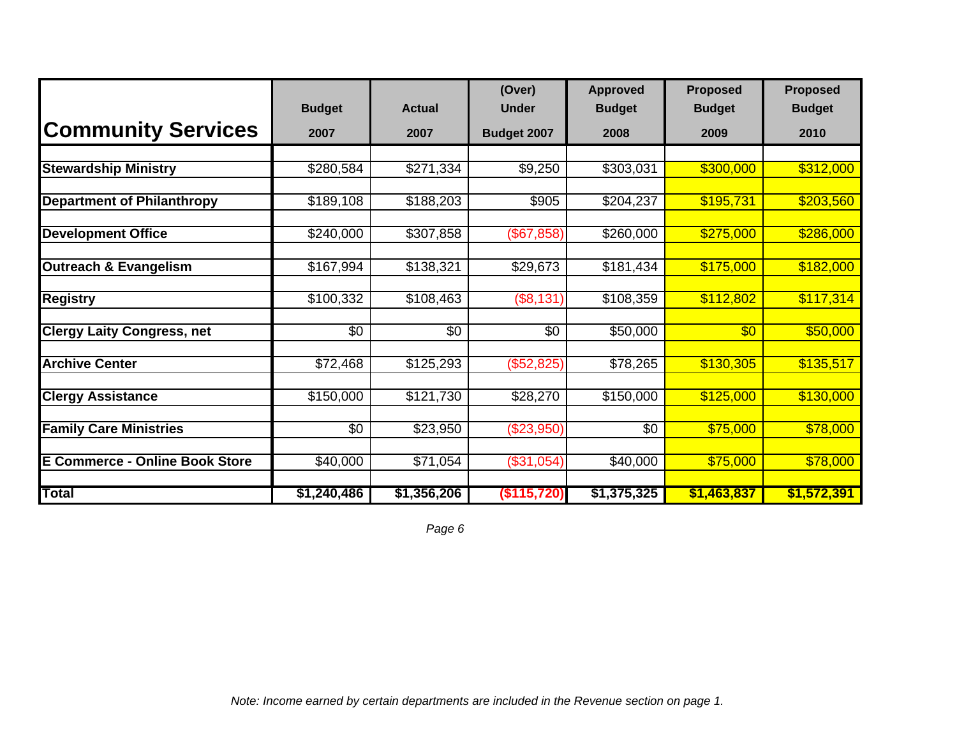|                                       |                 |               | (Over)       | <b>Approved</b> | <b>Proposed</b> | <b>Proposed</b> |
|---------------------------------------|-----------------|---------------|--------------|-----------------|-----------------|-----------------|
|                                       | <b>Budget</b>   | <b>Actual</b> | <b>Under</b> | <b>Budget</b>   | <b>Budget</b>   | <b>Budget</b>   |
| <b>Community Services</b>             | 2007            | 2007          | Budget 2007  | 2008            | 2009            | 2010            |
| <b>Stewardship Ministry</b>           | \$280,584       | \$271,334     | \$9,250      | \$303,031       | \$300,000       | \$312,000       |
| <b>Department of Philanthropy</b>     | \$189,108       | \$188,203     | \$905        | \$204,237       | \$195,731       | \$203,560       |
| <b>Development Office</b>             | \$240,000       | \$307,858     | (\$67,858)   | \$260,000       | \$275,000       | \$286,000       |
| Outreach & Evangelism                 | \$167,994       | \$138,321     | \$29,673     | \$181,434       | \$175,000       | \$182,000       |
| <b>Registry</b>                       | \$100,332       | \$108,463     | (\$8,131)    | \$108,359       | \$112,802       | \$117,314       |
| <b>Clergy Laity Congress, net</b>     | \$0             | \$0           | \$0          | \$50,000        | \$0             | \$50,000        |
| <b>Archive Center</b>                 | \$72,468        | \$125,293     | (\$52,825)   | \$78,265        | \$130,305       | \$135,517       |
| <b>Clergy Assistance</b>              | \$150,000       | \$121,730     | \$28,270     | \$150,000       | \$125,000       | \$130,000       |
| <b>Family Care Ministries</b>         | $\overline{50}$ | \$23,950      | (\$23,950)   | \$0             | \$75,000        | \$78,000        |
| <b>E Commerce - Online Book Store</b> | \$40,000        | \$71,054      | (\$31,054)   | \$40,000        | \$75,000        | \$78,000        |
| <b>Total</b>                          | \$1,240,486     | \$1,356,206   | (\$115,720)  | \$1,375,325     | \$1,463,837     | \$1,572,391     |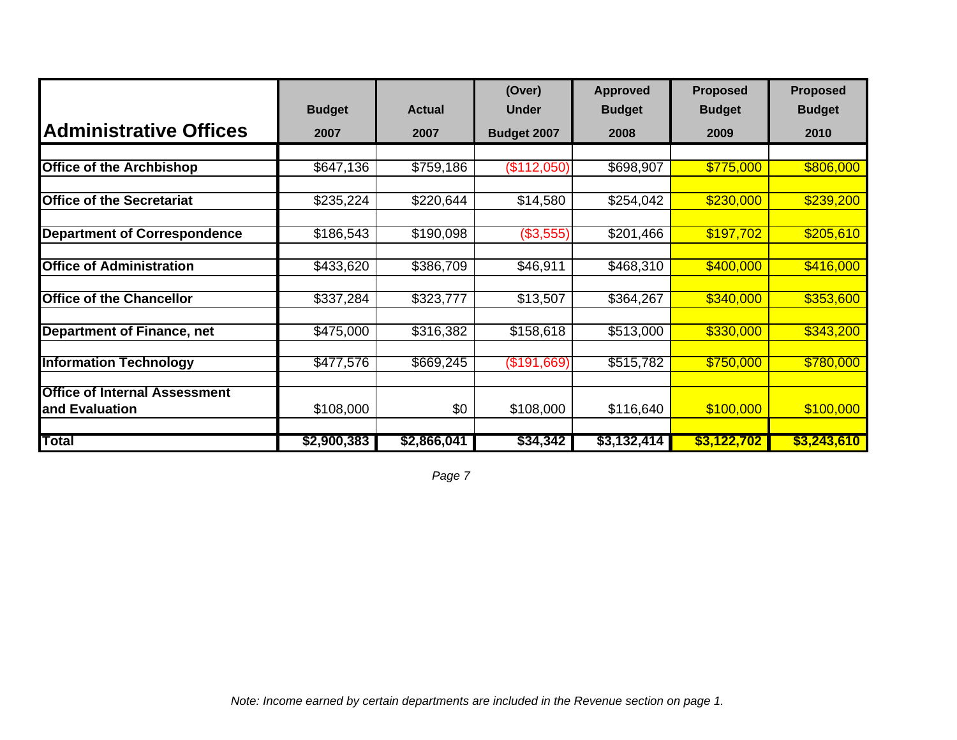|                                      |               |               | (Over)       | <b>Approved</b> | <b>Proposed</b> | <b>Proposed</b> |
|--------------------------------------|---------------|---------------|--------------|-----------------|-----------------|-----------------|
|                                      | <b>Budget</b> | <b>Actual</b> | <b>Under</b> | <b>Budget</b>   | <b>Budget</b>   | <b>Budget</b>   |
| <b>Administrative Offices</b>        | 2007          | 2007          | Budget 2007  | 2008            | 2009            | 2010            |
|                                      |               |               |              |                 |                 |                 |
| <b>Office of the Archbishop</b>      | \$647,136     | \$759,186     | (\$112,050)  | \$698,907       | \$775,000       | \$806,000       |
|                                      |               |               |              |                 |                 |                 |
| <b>Office of the Secretariat</b>     | \$235,224     | \$220,644     | \$14,580     | \$254,042       | \$230,000       | \$239,200       |
|                                      |               |               |              |                 |                 |                 |
| <b>Department of Correspondence</b>  | \$186,543     | \$190,098     | (\$3,555)    | \$201,466       | \$197,702       | \$205,610       |
|                                      |               |               |              |                 |                 |                 |
| <b>Office of Administration</b>      | \$433,620     | \$386,709     | \$46,911     | \$468,310       | \$400,000       | \$416,000       |
|                                      |               |               |              |                 |                 |                 |
| <b>Office of the Chancellor</b>      | \$337,284     | \$323,777     | \$13,507     | \$364,267       | \$340,000       | \$353,600       |
|                                      |               |               |              |                 |                 |                 |
| <b>Department of Finance, net</b>    | \$475,000     | \$316,382     | \$158,618    | \$513,000       | \$330,000       | \$343,200       |
|                                      | \$477,576     |               |              |                 |                 |                 |
| <b>Information Technology</b>        |               | \$669,245     | (\$191,669)  | \$515,782       | \$750,000       | \$780,000       |
| <b>Office of Internal Assessment</b> |               |               |              |                 |                 |                 |
| and Evaluation                       | \$108,000     | \$0           | \$108,000    | \$116,640       | \$100,000       | \$100,000       |
|                                      |               |               |              |                 |                 |                 |
| Total                                | \$2,900,383   | \$2,866,041   | \$34,342     | \$3,132,414     | \$3,122,702     | \$3,243,610     |